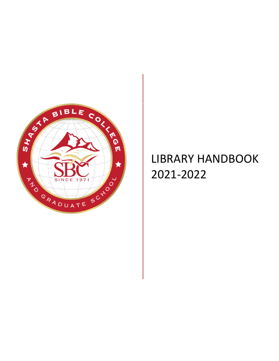

# LIBRARY HANDBOOK 2021-2022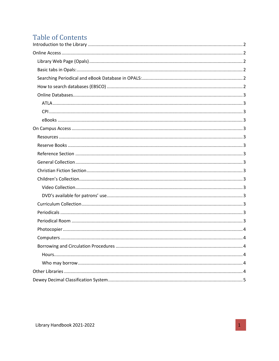# **Table of Contents**

<span id="page-1-0"></span>

| . 4 |
|-----|
|     |
|     |
|     |
|     |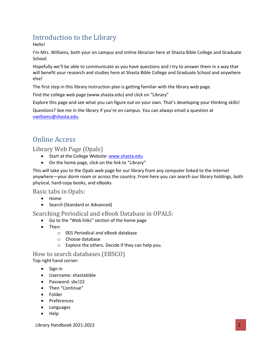# Introduction to the Library

Hello!

I'm Mrs. Williams, both your on campus and online librarian here at Shasta Bible College and Graduate School.

Hopefully we'll be able to communicate as you have questions and I try to answer them in a way that will benefit your research and studies here at Shasta Bible College and Graduate School and anywhere else!

The first step in this library instruction plan is getting familiar with the library web page.

Find the college web page (www.shasta.edu) and click on "Library"

Explore this page and see what you can figure out on your own. That's developing your thinking skills!

Questions? See me in the library if you're on campus. You can always email a question at [vwilliams@shasta.edu.](mailto:vwilliams@shasta.edu)

# <span id="page-2-0"></span>Online Access

<span id="page-2-1"></span>Library Web Page (Opals)

- Start at the College Website[: www.shasta.edu](http://www.shasta.edu/)
- On the home page, click on the link to "Library"

This will take you to the Opals web page for our library from any computer linked to the internet anywhere—your dorm room or across the country. From here you can search our library holdings, both physical, hard-copy books, and eBooks.

<span id="page-2-2"></span>Basic tabs in Opals:

- Home
- Search (Standard or Advanced)

<span id="page-2-3"></span>Searching Periodical and eBook Database in OPALS:

- Go to the "Web links" section of the home page
- Then:
	- o 001 Periodical and eBook database
	- o Choose database
	- o Explore the others. Decide if they can help you.

<span id="page-2-4"></span>How to search databases (EBSCO) Top right hand corner:

- Sign in
- Username: shastabible
- Password: sbc!22
- Then "Continue"
- Folder
- Preferences
- Languages
- Help

Library Handbook 2021-2022 2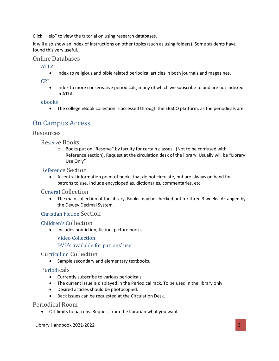Click "Help" to view the tutorial on using research databases.

It will also show an index of instructions on other topics (such as using folders). Some students have found this very useful.

#### <span id="page-3-1"></span><span id="page-3-0"></span>Online Databases

ATLA

• Index to religious and bible related periodical articles in both journals and magazines.

<span id="page-3-2"></span>CPI

• Index to more conservative periodicals, many of which we subscribe to and are not indexed in ATLA.

#### <span id="page-3-3"></span>eBooks

• The college eBook collection is accessed through the EBSCO platform, as the periodicals are.

### <span id="page-3-4"></span>On Campus Access

#### <span id="page-3-6"></span><span id="page-3-5"></span>Resources

Reserve Books

 $\circ$  Books put on "Reserve" by faculty for certain classes. (Not to be confused with Reference section). Request at the circulation desk of the library. Usually will be "Library Use Only"

#### <span id="page-3-7"></span>Reference Section

• A central information point of books that do not circulate, but are always on hand for patrons to use. Include encyclopedias, dictionaries, commentaries, etc.

#### <span id="page-3-8"></span>General Collection

• The main collection of the library. Books may be checked out for three 3 weeks. Arranged by the Dewey Decimal System.

#### <span id="page-3-9"></span>Christian Fiction Section

#### <span id="page-3-11"></span><span id="page-3-10"></span>Children's Collection

• Includes nonfiction, fiction, picture books.

Video Collection

DVD's available for patrons' use.

#### <span id="page-3-13"></span><span id="page-3-12"></span>Curriculum Collection

• Sample secondary and elementary textbooks.

#### <span id="page-3-14"></span>Periodicals

- Currently subscribe to various periodicals.
- The current issue is displayed in the Periodical rack. To be used in the library only.
- Desired articles should be photocopied.
- Back issues can be requested at the Circulation Desk.

#### <span id="page-3-15"></span>Periodical Room

• Off limits to patrons. Request from the librarian what you want.

Library Handbook 2021-2022 3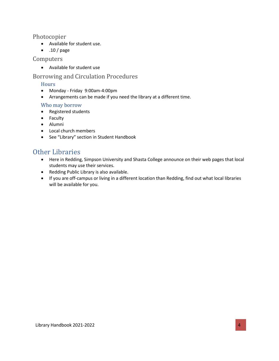#### <span id="page-4-0"></span>Photocopier

- Available for student use.
- .10 / page

#### <span id="page-4-1"></span>Computers

• Available for student use

#### <span id="page-4-3"></span><span id="page-4-2"></span>Borrowing and Circulation Procedures

#### **Hours**

- Monday Friday 9:00am-4:00pm
- Arrangements can be made if you need the library at a different time.

#### <span id="page-4-4"></span>Who may borrow

- Registered students
- Faculty
- Alumni
- Local church members
- See "Library" section in Student Handbook

## <span id="page-4-5"></span>Other Libraries

- Here in Redding, Simpson University and Shasta College announce on their web pages that local students may use their services.
- Redding Public Library is also available.
- <span id="page-4-6"></span>• If you are off-campus or living in a different location than Redding, find out what local libraries will be available for you.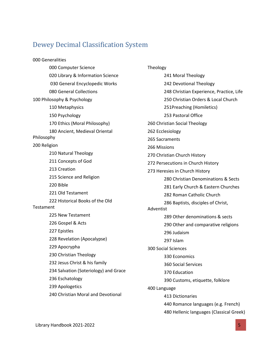### Dewey Decimal Classification System

000 Generalities 000 Computer Science 020 Library & Information Science 030 General Encyclopedic Works 080 General Collections 100 Philosophy & Psychology 110 Metaphysics 150 Psychology 170 Ethics (Moral Philosophy) 180 Ancient, Medieval Oriental Philosophy 200 Religion 210 Natural Theology 211 Concepts of God 213 Creation 215 Science and Religion 220 Bible 221 Old Testament 222 Historical Books of the Old Testament 225 New Testament 226 Gospel & Acts 227 Epistles 228 Revelation (Apocalypse) 229 Apocrypha 230 Christian Theology 232 Jesus Christ & his family 234 Salvation (Soteriology) and Grace 236 Eschatology 239 Apologetics 240 Christian Moral and Devotional

Theology 241 Moral Theology 242 Devotional Theology 248 Christian Experience, Practice, Life 250 Christian Orders & Local Church 251Preaching (Homiletics) 253 Pastoral Office 260 Christian Social Theology 262 Ecclesiology 265 Sacraments 266 Missions 270 Christian Church History 272 Persecutions in Church History 273 Heresies in Church History 280 Christian Denominations & Sects 281 Early Church & Eastern Churches 282 Roman Catholic Church 286 Baptists, disciples of Christ, Adventist 289 Other denominations & sects 290 Other and comparative religions 296 Judaism 297 Islam 300 Social Sciences 330 Economics 360 Social Services 370 Education 390 Customs, etiquette, folklore 400 Language 413 Dictionaries 440 Romance languages (e.g. French) 480 Hellenic languages (Classical Greek)

Library Handbook 2021-2022 5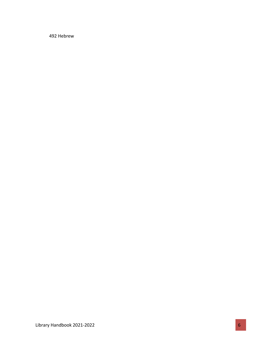492 Hebrew